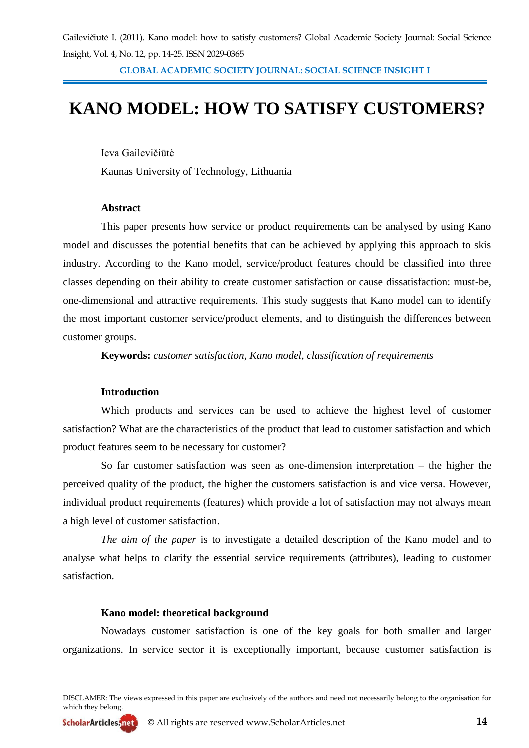**GLOBAL ACADEMIC SOCIETY JOURNAL: SOCIAL SCIENCE INSIGHT I**

# **KANO MODEL: HOW TO SATISFY CUSTOMERS?**

Ieva Gailevičiūtė Kaunas University of Technology, Lithuania

**Abstract**

This paper presents how service or product requirements can be analysed by using Kano model and discusses the potential benefits that can be achieved by applying this approach to skis industry. According to the Kano model, service/product features chould be classified into three classes depending on their ability to create customer satisfaction or cause dissatisfaction: must-be, one-dimensional and attractive requirements. This study suggests that Kano model can to identify the most important customer service/product elements, and to distinguish the differences between customer groups.

**Keywords:** *customer satisfaction, Kano model, classification of requirements*

### **Introduction**

Which products and services can be used to achieve the highest level of customer satisfaction? What are the characteristics of the product that lead to customer satisfaction and which product features seem to be necessary for customer?

So far customer satisfaction was seen as one-dimension interpretation – the higher the perceived quality of the product, the higher the customers satisfaction is and vice versa. However, individual product requirements (features) which provide a lot of satisfaction may not always mean a high level of customer satisfaction.

*The aim of the paper* is to investigate a detailed description of the Kano model and to analyse what helps to clarify the essential service requirements (attributes), leading to customer satisfaction.

### **Kano model: theoretical background**

Nowadays customer satisfaction is one of the key goals for both smaller and larger organizations. In service sector it is exceptionally important, because customer satisfaction is

DISCLAMER: The views expressed in this paper are exclusively of the authors and need not necessarily belong to the organisation for which they belong.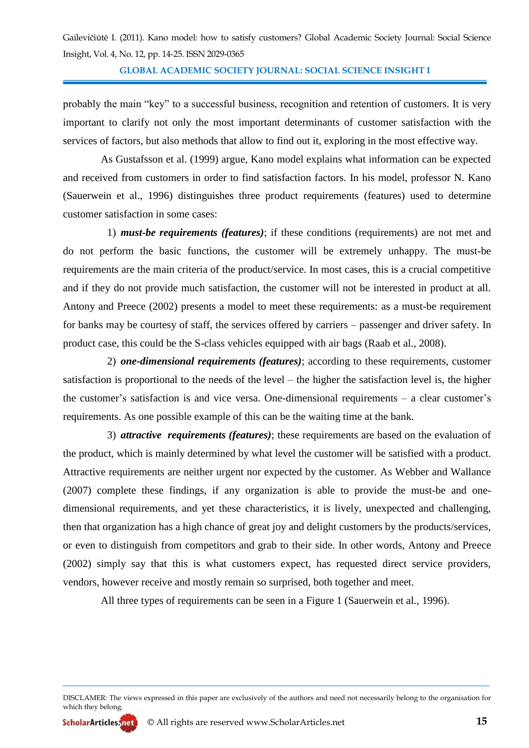**GLOBAL ACADEMIC SOCIETY JOURNAL: SOCIAL SCIENCE INSIGHT I**

probably the main "key" to a successful business, recognition and retention of customers. It is very important to clarify not only the most important determinants of customer satisfaction with the services of factors, but also methods that allow to find out it, exploring in the most effective way.

As Gustafsson et al. (1999) argue, Kano model explains what information can be expected and received from customers in order to find satisfaction factors. In his model, professor N. Kano (Sauerwein et al., 1996) distinguishes three product requirements (features) used to determine customer satisfaction in some cases:

1) *must-be requirements (features)*; if these conditions (requirements) are not met and do not perform the basic functions, the customer will be extremely unhappy. The must-be requirements are the main criteria of the product/service. In most cases, this is a crucial competitive and if they do not provide much satisfaction, the customer will not be interested in product at all. Antony and Preece (2002) presents a model to meet these requirements: as a must-be requirement for banks may be courtesy of staff, the services offered by carriers – passenger and driver safety. In product case, this could be the S-class vehicles equipped with air bags (Raab et al., 2008).

2) *one-dimensional requirements (features)*; according to these requirements, customer satisfaction is proportional to the needs of the level – the higher the satisfaction level is, the higher the customer's satisfaction is and vice versa. One-dimensional requirements – a clear customer's requirements. As one possible example of this can be the waiting time at the bank.

3) *attractive requirements (features)*; these requirements are based on the evaluation of the product, which is mainly determined by what level the customer will be satisfied with a product. Attractive requirements are neither urgent nor expected by the customer. As Webber and Wallance (2007) complete these findings, if any organization is able to provide the must-be and onedimensional requirements, and yet these characteristics, it is lively, unexpected and challenging, then that organization has a high chance of great joy and delight customers by the products/services, or even to distinguish from competitors and grab to their side. In other words, Antony and Preece (2002) simply say that this is what customers expect, has requested direct service providers, vendors, however receive and mostly remain so surprised, both together and meet.

All three types of requirements can be seen in a Figure 1 (Sauerwein et al., 1996).

DISCLAMER: The views expressed in this paper are exclusively of the authors and need not necessarily belong to the organisation for which they belong.

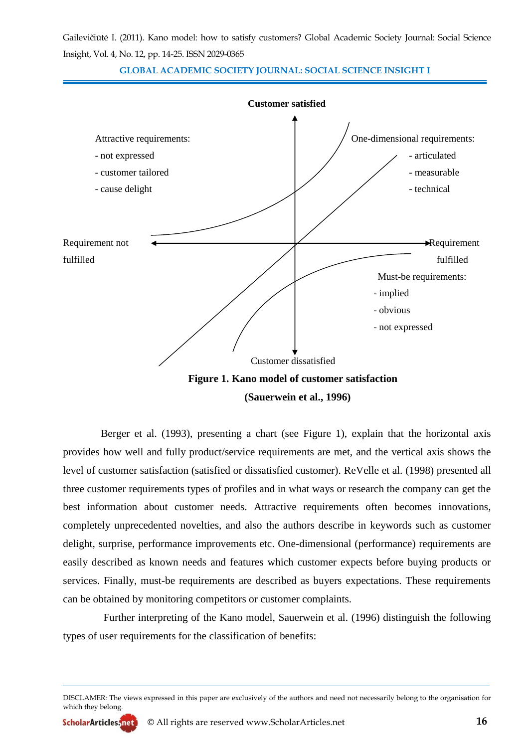**GLOBAL ACADEMIC SOCIETY JOURNAL: SOCIAL SCIENCE INSIGHT I**



Berger et al. (1993), presenting a chart (see Figure 1), explain that the horizontal axis provides how well and fully product/service requirements are met, and the vertical axis shows the level of customer satisfaction (satisfied or dissatisfied customer). ReVelle et al. (1998) presented all three customer requirements types of profiles and in what ways or research the company can get the best information about customer needs. Attractive requirements often becomes innovations, completely unprecedented novelties, and also the authors describe in keywords such as customer delight, surprise, performance improvements etc. One-dimensional (performance) requirements are easily described as known needs and features which customer expects before buying products or services. Finally, must-be requirements are described as buyers expectations. These requirements can be obtained by monitoring competitors or customer complaints.

Further interpreting of the Kano model, Sauerwein et al. (1996) distinguish the following types of user requirements for the classification of benefits:

DISCLAMER: The views expressed in this paper are exclusively of the authors and need not necessarily belong to the organisation for which they belong.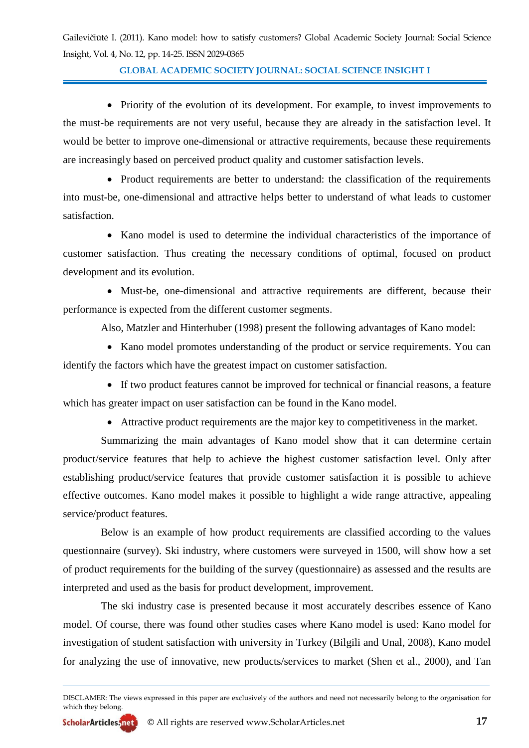**GLOBAL ACADEMIC SOCIETY JOURNAL: SOCIAL SCIENCE INSIGHT I**

• Priority of the evolution of its development. For example, to invest improvements to the must-be requirements are not very useful, because they are already in the satisfaction level. It would be better to improve one-dimensional or attractive requirements, because these requirements are increasingly based on perceived product quality and customer satisfaction levels.

• Product requirements are better to understand: the classification of the requirements into must-be, one-dimensional and attractive helps better to understand of what leads to customer satisfaction.

 Kano model is used to determine the individual characteristics of the importance of customer satisfaction. Thus creating the necessary conditions of optimal, focused on product development and its evolution.

 Must-be, one-dimensional and attractive requirements are different, because their performance is expected from the different customer segments.

Also, Matzler and Hinterhuber (1998) present the following advantages of Kano model:

• Kano model promotes understanding of the product or service requirements. You can identify the factors which have the greatest impact on customer satisfaction.

 If two product features cannot be improved for technical or financial reasons, a feature which has greater impact on user satisfaction can be found in the Kano model.

Attractive product requirements are the major key to competitiveness in the market.

Summarizing the main advantages of Kano model show that it can determine certain product/service features that help to achieve the highest customer satisfaction level. Only after establishing product/service features that provide customer satisfaction it is possible to achieve effective outcomes. Kano model makes it possible to highlight a wide range attractive, appealing service/product features.

Below is an example of how product requirements are classified according to the values questionnaire (survey). Ski industry, where customers were surveyed in 1500, will show how a set of product requirements for the building of the survey (questionnaire) as assessed and the results are interpreted and used as the basis for product development, improvement.

The ski industry case is presented because it most accurately describes essence of Kano model. Of course, there was found other studies cases where Kano model is used: Kano model for investigation of student satisfaction with university in Turkey (Bilgili and Unal, 2008), Kano model for analyzing the use of innovative, new products/services to market (Shen et al., 2000), and Tan

DISCLAMER: The views expressed in this paper are exclusively of the authors and need not necessarily belong to the organisation for which they belong.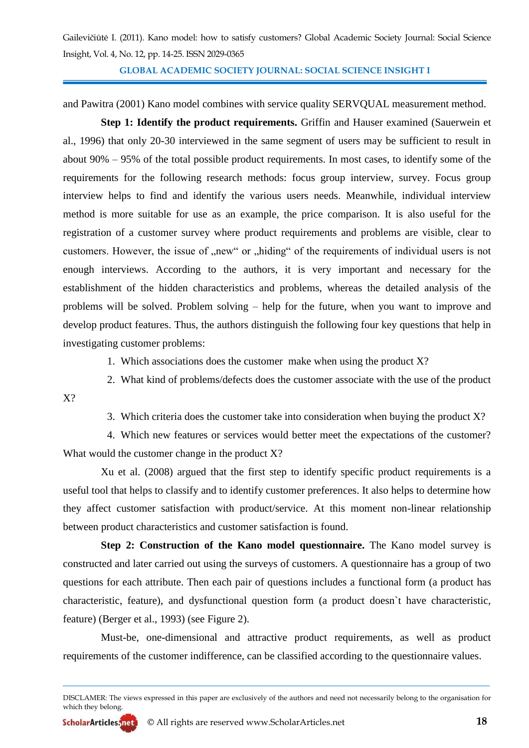**GLOBAL ACADEMIC SOCIETY JOURNAL: SOCIAL SCIENCE INSIGHT I**

and Pawitra (2001) Kano model combines with service quality SERVQUAL measurement method.

**Step 1: Identify the product requirements.** Griffin and Hauser examined (Sauerwein et al., 1996) that only 20-30 interviewed in the same segment of users may be sufficient to result in about 90% – 95% of the total possible product requirements. In most cases, to identify some of the requirements for the following research methods: focus group interview, survey. Focus group interview helps to find and identify the various users needs. Meanwhile, individual interview method is more suitable for use as an example, the price comparison. It is also useful for the registration of a customer survey where product requirements and problems are visible, clear to customers. However, the issue of "new" or "hiding" of the requirements of individual users is not enough interviews. According to the authors, it is very important and necessary for the establishment of the hidden characteristics and problems, whereas the detailed analysis of the problems will be solved. Problem solving – help for the future, when you want to improve and develop product features. Thus, the authors distinguish the following four key questions that help in investigating customer problems:

1. Which associations does the customer make when using the product  $X$ ?

2. What kind of problems/defects does the customer associate with the use of the product

3. Which criteria does the customer take into consideration when buying the product X?

4. Which new features or services would better meet the expectations of the customer? What would the customer change in the product X?

Xu et al. (2008) argued that the first step to identify specific product requirements is a useful tool that helps to classify and to identify customer preferences. It also helps to determine how they affect customer satisfaction with product/service. At this moment non-linear relationship between product characteristics and customer satisfaction is found.

**Step 2: Construction of the Kano model questionnaire.** The Kano model survey is constructed and later carried out using the surveys of customers. A questionnaire has a group of two questions for each attribute. Then each pair of questions includes a functional form (a product has characteristic, feature), and dysfunctional question form (a product doesn`t have characteristic, feature) (Berger et al., 1993) (see Figure 2).

Must-be, one-dimensional and attractive product requirements, as well as product requirements of the customer indifference, can be classified according to the questionnaire values.

X?

DISCLAMER: The views expressed in this paper are exclusively of the authors and need not necessarily belong to the organisation for which they belong.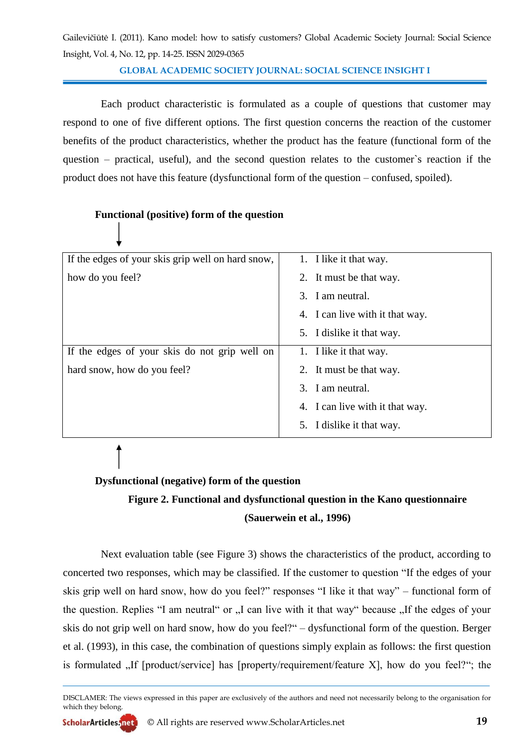**GLOBAL ACADEMIC SOCIETY JOURNAL: SOCIAL SCIENCE INSIGHT I**

Each product characteristic is formulated as a couple of questions that customer may respond to one of five different options. The first question concerns the reaction of the customer benefits of the product characteristics, whether the product has the feature (functional form of the question – practical, useful), and the second question relates to the customer`s reaction if the product does not have this feature (dysfunctional form of the question – confused, spoiled).

### **Functional (positive) form of the question**

| If the edges of your skis grip well on hard snow, | 1. I like it that way.          |
|---------------------------------------------------|---------------------------------|
| how do you feel?                                  | 2. It must be that way.         |
|                                                   | 3. I am neutral.                |
|                                                   | 4. I can live with it that way. |
|                                                   | 5. I dislike it that way.       |
| If the edges of your skis do not grip well on     | 1. I like it that way.          |
| hard snow, how do you feel?                       | 2. It must be that way.         |
|                                                   | 3. I am neutral.                |
|                                                   | 4. I can live with it that way. |
|                                                   | 5. I dislike it that way.       |

### **Dysfunctional (negative) form of the question**

## **Figure 2. Functional and dysfunctional question in the Kano questionnaire (Sauerwein et al., 1996)**

Next evaluation table (see Figure 3) shows the characteristics of the product, according to concerted two responses, which may be classified. If the customer to question "If the edges of your skis grip well on hard snow, how do you feel?" responses "I like it that way" – functional form of the question. Replies "I am neutral" or "I can live with it that way" because "If the edges of your skis do not grip well on hard snow, how do you feel?" – dysfunctional form of the question. Berger et al. (1993), in this case, the combination of questions simply explain as follows: the first question is formulated  $\mu$ . If [product/service] has [property/requirement/feature X], how do you feel?"; the

DISCLAMER: The views expressed in this paper are exclusively of the authors and need not necessarily belong to the organisation for which they belong.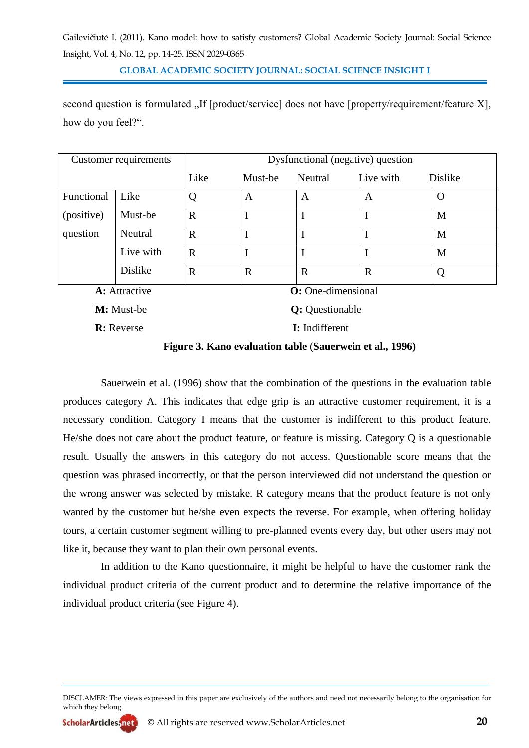**GLOBAL ACADEMIC SOCIETY JOURNAL: SOCIAL SCIENCE INSIGHT I**

second question is formulated "If [product/service] does not have [property/requirement/feature X], how do you feel?".

|                                             | Customer requirements | Dysfunctional (negative) question |             |             |             |                |  |
|---------------------------------------------|-----------------------|-----------------------------------|-------------|-------------|-------------|----------------|--|
|                                             |                       | Like                              | Must-be     | Neutral     | Live with   | <b>Dislike</b> |  |
| Functional                                  | Like                  | Q                                 | A           | A           | A           | $\Omega$       |  |
| (positive)                                  | Must-be               | $\mathbf R$                       |             |             |             | M              |  |
| question                                    | Neutral               | $\mathbf R$                       |             |             |             | M              |  |
|                                             | Live with             | R                                 |             |             |             | M              |  |
|                                             | <b>Dislike</b>        | $\mathbf R$                       | $\mathbf R$ | $\mathbf R$ | $\mathbf R$ | Q              |  |
| <b>O</b> : One-dimensional<br>A: Attractive |                       |                                   |             |             |             |                |  |

**M:** Must-be **Q:** Questionable

**R:** Reverse **I:** Indifferent

**Figure 3. Kano evaluation table** (**Sauerwein et al., 1996)**

Sauerwein et al. (1996) show that the combination of the questions in the evaluation table produces category A. This indicates that edge grip is an attractive customer requirement, it is a necessary condition. Category I means that the customer is indifferent to this product feature. He/she does not care about the product feature, or feature is missing. Category Q is a questionable result. Usually the answers in this category do not access. Questionable score means that the question was phrased incorrectly, or that the person interviewed did not understand the question or the wrong answer was selected by mistake. R category means that the product feature is not only wanted by the customer but he/she even expects the reverse. For example, when offering holiday tours, a certain customer segment willing to pre-planned events every day, but other users may not like it, because they want to plan their own personal events.

In addition to the Kano questionnaire, it might be helpful to have the customer rank the individual product criteria of the current product and to determine the relative importance of the individual product criteria (see Figure 4).

DISCLAMER: The views expressed in this paper are exclusively of the authors and need not necessarily belong to the organisation for which they belong.

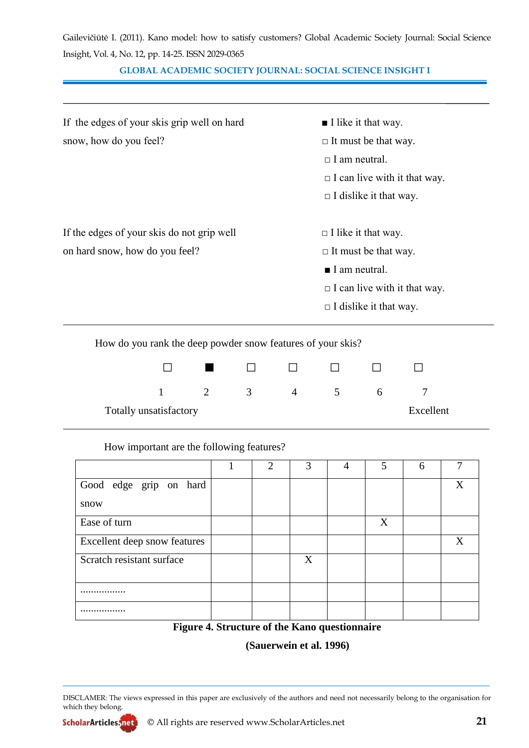|                                                    | Gailevičiūtė I. (2011). Kano model: how to satisfy customers? Global Academic Society Journal: Social Science |  |  |
|----------------------------------------------------|---------------------------------------------------------------------------------------------------------------|--|--|
| Insight, Vol. 4, No. 12, pp. 14-25. ISSN 2029-0365 |                                                                                                               |  |  |

### **GLOBAL ACADEMIC SOCIETY JOURNAL: SOCIAL SCIENCE INSIGHT I**

| If the edges of your skis grip well on hard | $\blacksquare$ I like it that way.  |
|---------------------------------------------|-------------------------------------|
| snow, how do you feel?                      | $\Box$ It must be that way.         |
|                                             | $\Box$ I am neutral.                |
|                                             | $\Box$ I can live with it that way. |
|                                             | $\Box$ I dislike it that way.       |
| If the edges of your skis do not grip well  | $\Box$ I like it that way.          |
| on hard snow, how do you feel?              | $\Box$ It must be that way.         |
|                                             | $\blacksquare$ I am neutral.        |
|                                             | $\Box$ I can live with it that way. |
|                                             | $\Box$ I dislike it that way.       |
|                                             |                                     |

How do you rank the deep powder snow features of your skis?

|                        | a sa sa |   |          |        |              |           |
|------------------------|---------|---|----------|--------|--------------|-----------|
|                        |         | 3 | $\Delta$ | $\sim$ | <sub>n</sub> |           |
| Totally unsatisfactory |         |   |          |        |              | Excellent |

### How important are the following features?

|                              | $\overline{2}$ | 3 | 4 | 5 | 6 |   |
|------------------------------|----------------|---|---|---|---|---|
| Good edge grip on hard       |                |   |   |   |   | X |
| snow                         |                |   |   |   |   |   |
| Ease of turn                 |                |   |   | X |   |   |
| Excellent deep snow features |                |   |   |   |   | X |
| Scratch resistant surface    |                | X |   |   |   |   |
|                              |                |   |   |   |   |   |
|                              |                |   |   |   |   |   |
|                              |                |   |   |   |   |   |

**Figure 4. Structure of the Kano questionnaire**

**(Sauerwein et al. 1996)**

DISCLAMER: The views expressed in this paper are exclusively of the authors and need not necessarily belong to the organisation for which they belong.

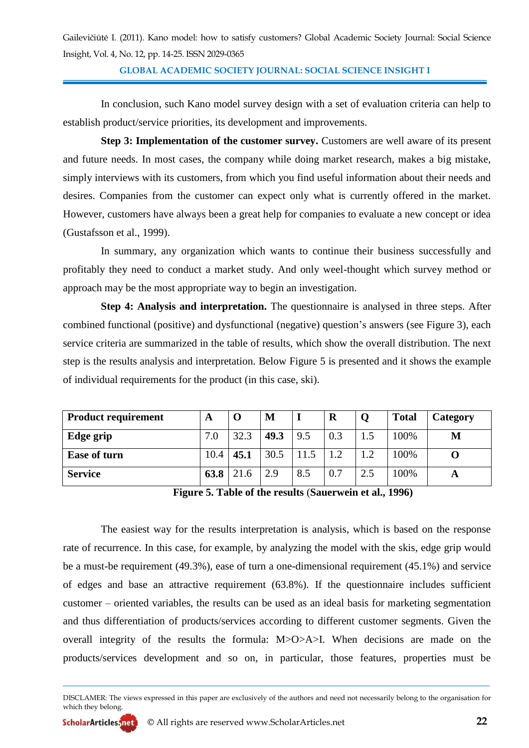**GLOBAL ACADEMIC SOCIETY JOURNAL: SOCIAL SCIENCE INSIGHT I**

In conclusion, such Kano model survey design with a set of evaluation criteria can help to establish product/service priorities, its development and improvements.

**Step 3: Implementation of the customer survey.** Customers are well aware of its present and future needs. In most cases, the company while doing market research, makes a big mistake, simply interviews with its customers, from which you find useful information about their needs and desires. Companies from the customer can expect only what is currently offered in the market. However, customers have always been a great help for companies to evaluate a new concept or idea (Gustafsson et al., 1999).

In summary, any organization which wants to continue their business successfully and profitably they need to conduct a market study. And only weel-thought which survey method or approach may be the most appropriate way to begin an investigation.

**Step 4: Analysis and interpretation.** The questionnaire is analysed in three steps. After combined functional (positive) and dysfunctional (negative) question's answers (see Figure 3), each service criteria are summarized in the table of results, which show the overall distribution. The next step is the results analysis and interpretation. Below Figure 5 is presented and it shows the example of individual requirements for the product (in this case, ski).

| <b>Product requirement</b> | A    | $\Omega$ | M    |      | R   |     | <b>Total</b> | Category |
|----------------------------|------|----------|------|------|-----|-----|--------------|----------|
| Edge grip                  | 7.0  | 32.3     | 49.3 | 9.5  | 0.3 |     | 100%         | M        |
| <b>Ease of turn</b>        | 10.4 | 45.1     | 30.5 | 11.5 | 1.2 |     | 100%         |          |
| <b>Service</b>             | 63.8 | 21.6     | 2.9  | 8.5  | 0.7 | 2.5 | 100%         | A        |

**Figure 5. Table of the results** (**Sauerwein et al., 1996)**

The easiest way for the results interpretation is analysis, which is based on the response rate of recurrence. In this case, for example, by analyzing the model with the skis, edge grip would be a must-be requirement (49.3%), ease of turn a one-dimensional requirement (45.1%) and service of edges and base an attractive requirement (63.8%). If the questionnaire includes sufficient customer – oriented variables, the results can be used as an ideal basis for marketing segmentation and thus differentiation of products/services according to different customer segments. Given the overall integrity of the results the formula: M>O>A>I. When decisions are made on the products/services development and so on, in particular, those features, properties must be

DISCLAMER: The views expressed in this paper are exclusively of the authors and need not necessarily belong to the organisation for which they belong.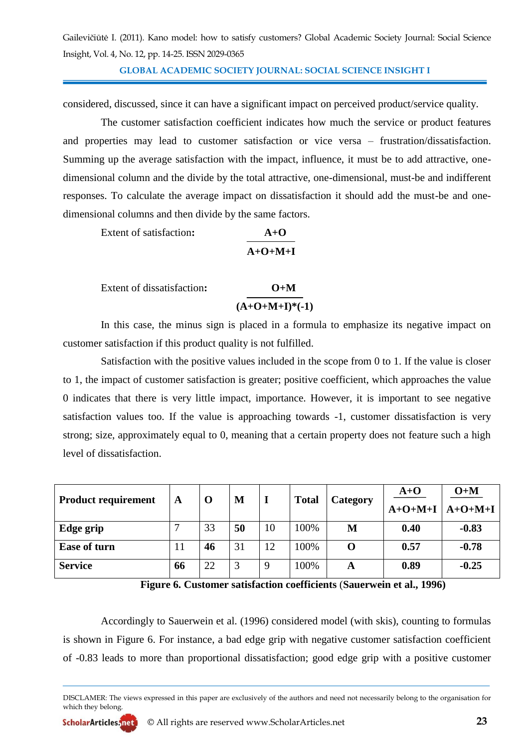**GLOBAL ACADEMIC SOCIETY JOURNAL: SOCIAL SCIENCE INSIGHT I**

considered, discussed, since it can have a significant impact on perceived product/service quality.

The customer satisfaction coefficient indicates how much the service or product features and properties may lead to customer satisfaction or vice versa – frustration/dissatisfaction. Summing up the average satisfaction with the impact, influence, it must be to add attractive, onedimensional column and the divide by the total attractive, one-dimensional, must-be and indifferent responses. To calculate the average impact on dissatisfaction it should add the must-be and onedimensional columns and then divide by the same factors.

Extent of satisfaction:

| Extent of satisfaction: | $A+O$     |
|-------------------------|-----------|
|                         | $A+O+M+I$ |

Extent of dissatisfaction**: O+M**  $(A+O+M+I)*(-1)$ 

In this case, the minus sign is placed in a formula to emphasize its negative impact on customer satisfaction if this product quality is not fulfilled.

Satisfaction with the positive values included in the scope from 0 to 1. If the value is closer to 1, the impact of customer satisfaction is greater; positive coefficient, which approaches the value 0 indicates that there is very little impact, importance. However, it is important to see negative satisfaction values too. If the value is approaching towards -1, customer dissatisfaction is very strong; size, approximately equal to 0, meaning that a certain property does not feature such a high level of dissatisfaction.

| <b>Product requirement</b> | O<br>A | M  | <b>Total</b> | Category | $A+O$ | $O+M$ |           |           |
|----------------------------|--------|----|--------------|----------|-------|-------|-----------|-----------|
|                            |        |    |              |          |       |       | $A+O+M+I$ | $A+O+M+I$ |
| Edge grip                  | −      | 33 | 50           | 10       | 100%  | M     | 0.40      | $-0.83$   |
| <b>Ease of turn</b>        | 11     | 46 | 31           | 12       | 100%  | 0     | 0.57      | $-0.78$   |
| <b>Service</b>             | 66     | 22 | 3            | 9        | 100%  | A     | 0.89      | $-0.25$   |

**Figure 6. Customer satisfaction coefficients** (**Sauerwein et al., 1996)**

Accordingly to Sauerwein et al. (1996) considered model (with skis), counting to formulas is shown in Figure 6. For instance, a bad edge grip with negative customer satisfaction coefficient of -0.83 leads to more than proportional dissatisfaction; good edge grip with a positive customer

DISCLAMER: The views expressed in this paper are exclusively of the authors and need not necessarily belong to the organisation for which they belong.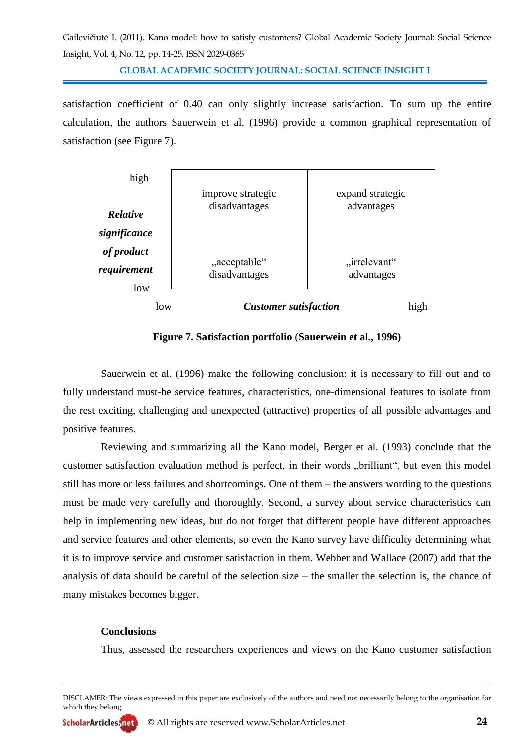**GLOBAL ACADEMIC SOCIETY JOURNAL: SOCIAL SCIENCE INSIGHT I**

satisfaction coefficient of 0.40 can only slightly increase satisfaction. To sum up the entire calculation, the authors Sauerwein et al. (1996) provide a common graphical representation of satisfaction (see Figure 7).



**Figure 7. Satisfaction portfolio** (**Sauerwein et al., 1996)**

Sauerwein et al. (1996) make the following conclusion: it is necessary to fill out and to fully understand must-be service features, characteristics, one-dimensional features to isolate from the rest exciting, challenging and unexpected (attractive) properties of all possible advantages and positive features.

Reviewing and summarizing all the Kano model, Berger et al. (1993) conclude that the customer satisfaction evaluation method is perfect, in their words "brilliant", but even this model still has more or less failures and shortcomings. One of them – the answers wording to the questions must be made very carefully and thoroughly. Second, a survey about service characteristics can help in implementing new ideas, but do not forget that different people have different approaches and service features and other elements, so even the Kano survey have difficulty determining what it is to improve service and customer satisfaction in them. Webber and Wallace (2007) add that the analysis of data should be careful of the selection size – the smaller the selection is, the chance of many mistakes becomes bigger.

### **Conclusions**

Thus, assessed the researchers experiences and views on the Kano customer satisfaction

DISCLAMER: The views expressed in this paper are exclusively of the authors and need not necessarily belong to the organisation for which they belong.